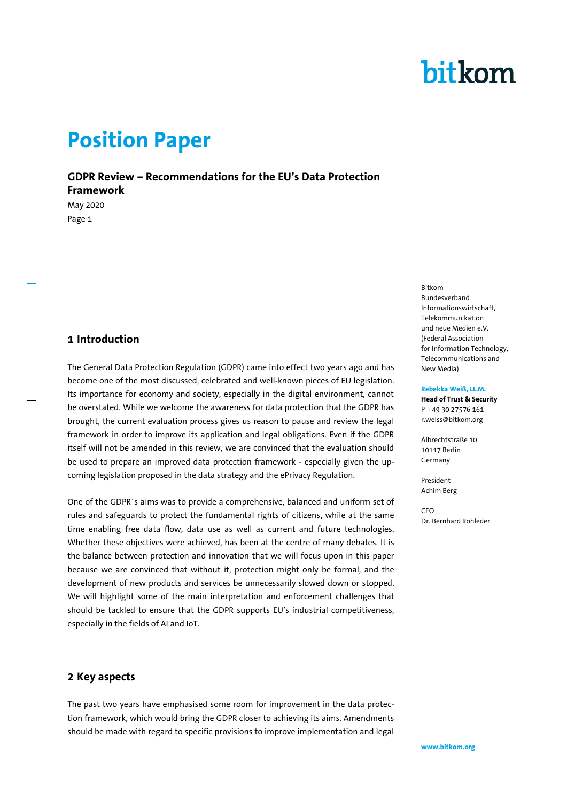#### **www.bitkom.org**

# bitkom

### **Position Paper**

**GDPR Review – Recommendations for the EU's Data Protection Framework**

May 2020 Page 1

#### **1 Introduction**

The General Data Protection Regulation (GDPR) came into effect two years ago and has become one of the most discussed, celebrated and well-known pieces of EU legislation. Its importance for economy and society, especially in the digital environment, cannot be overstated. While we welcome the awareness for data protection that the GDPR has brought, the current evaluation process gives us reason to pause and review the legal framework in order to improve its application and legal obligations. Even if the GDPR itself will not be amended in this review, we are convinced that the evaluation should be used to prepare an improved data protection framework - especially given the upcoming legislation proposed in the data strategy and the ePrivacy Regulation.

One of the GDPR´s aims was to provide a comprehensive, balanced and uniform set of rules and safeguards to protect the fundamental rights of citizens, while at the same time enabling free data flow, data use as well as current and future technologies. Whether these objectives were achieved, has been at the centre of many debates. It is the balance between protection and innovation that we will focus upon in this paper because we are convinced that without it, protection might only be formal, and the development of new products and services be unnecessarily slowed down or stopped. We will highlight some of the main interpretation and enforcement challenges that should be tackled to ensure that the GDPR supports EU's industrial competitiveness, especially in the fields of AI and IoT.

#### **2 Key aspects**

The past two years have emphasised some room for improvement in the data protection framework, which would bring the GDPR closer to achieving its aims. Amendments should be made with regard to specific provisions to improve implementation and legal Bitkom Bundesverband Informationswirtschaft, Telekommunikation und neue Medien e.V. (Federal Association for Information Technology, Telecommunications and New Media)

#### **Rebekka Weiß, LL.M.**

**Head of Trust & Security** P +49 30 27576 161 r.weiss@bitkom.org

Albrechtstraße 10 10117 Berlin Germany

President Achim Berg

CEO Dr. Bernhard Rohleder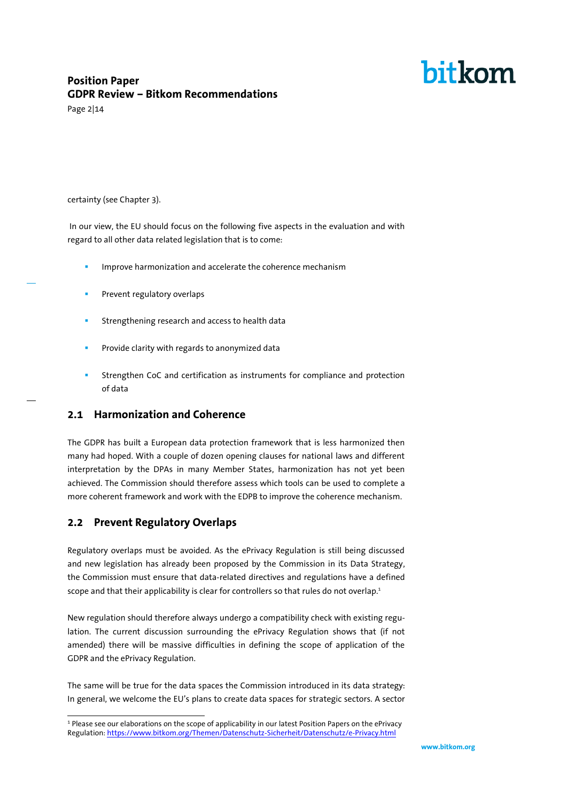### **Position Paper GDPR Review – Bitkom Recommendations**

Page 2|14

#### certainty (see Chapter 3).

In our view, the EU should focus on the following five aspects in the evaluation and with regard to all other data related legislation that is to come:

- Improve harmonization and accelerate the coherence mechanism
- Prevent regulatory overlaps
- Strengthening research and access to health data
- **Provide clarity with regards to anonymized data**
- Strengthen CoC and certification as instruments for compliance and protection of data

#### **2.1 Harmonization and Coherence**

The GDPR has built a European data protection framework that is less harmonized then many had hoped. With a couple of dozen opening clauses for national laws and different interpretation by the DPAs in many Member States, harmonization has not yet been achieved. The Commission should therefore assess which tools can be used to complete a more coherent framework and work with the EDPB to improve the coherence mechanism.

#### **2.2 Prevent Regulatory Overlaps**

Regulatory overlaps must be avoided. As the ePrivacy Regulation is still being discussed and new legislation has already been proposed by the Commission in its Data Strategy, the Commission must ensure that data-related directives and regulations have a defined scope and that their applicability is clear for controllers so that rules do not overlap.<sup>1</sup>

New regulation should therefore always undergo a compatibility check with existing regulation. The current discussion surrounding the ePrivacy Regulation shows that (if not amended) there will be massive difficulties in defining the scope of application of the GDPR and the ePrivacy Regulation.

The same will be true for the data spaces the Commission introduced in its data strategy: In general, we welcome the EU's plans to create data spaces for strategic sectors. A sector

j <sup>1</sup> Please see our elaborations on the scope of applicability in our latest Position Papers on the ePrivacy Regulation[: https://www.bitkom.org/Themen/Datenschutz-Sicherheit/Datenschutz/e-Privacy.html](https://www.bitkom.org/Themen/Datenschutz-Sicherheit/Datenschutz/e-Privacy.html)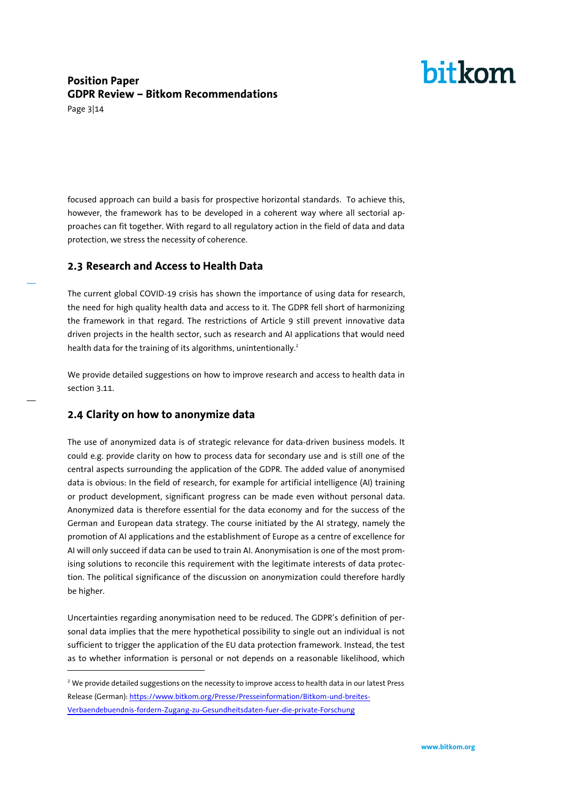### **Position Paper GDPR Review – Bitkom Recommendations**

Page 3|14

 $\overline{a}$ 

focused approach can build a basis for prospective horizontal standards. To achieve this, however, the framework has to be developed in a coherent way where all sectorial approaches can fit together. With regard to all regulatory action in the field of data and data protection, we stress the necessity of coherence.

#### **2.3 Research and Access to Health Data**

The current global COVID-19 crisis has shown the importance of using data for research, the need for high quality health data and access to it. The GDPR fell short of harmonizing the framework in that regard. The restrictions of Article 9 still prevent innovative data driven projects in the health sector, such as research and AI applications that would need health data for the training of its algorithms, unintentionally. 2

We provide detailed suggestions on how to improve research and access to health data in section 3.11.

#### **2.4 Clarity on how to anonymize data**

The use of anonymized data is of strategic relevance for data-driven business models. It could e.g. provide clarity on how to process data for secondary use and is still one of the central aspects surrounding the application of the GDPR. The added value of anonymised data is obvious: In the field of research, for example for artificial intelligence (AI) training or product development, significant progress can be made even without personal data. Anonymized data is therefore essential for the data economy and for the success of the German and European data strategy. The course initiated by the AI strategy, namely the promotion of AI applications and the establishment of Europe as a centre of excellence for AI will only succeed if data can be used to train AI. Anonymisation is one of the most promising solutions to reconcile this requirement with the legitimate interests of data protection. The political significance of the discussion on anonymization could therefore hardly be higher.

Uncertainties regarding anonymisation need to be reduced. The GDPR's definition of personal data implies that the mere hypothetical possibility to single out an individual is not sufficient to trigger the application of the EU data protection framework. Instead, the test as to whether information is personal or not depends on a reasonable likelihood, which

<sup>&</sup>lt;sup>2</sup> We provide detailed suggestions on the necessity to improve access to health data in our latest Press Release (German)[: https://www.bitkom.org/Presse/Presseinformation/Bitkom-und-breites-](https://www.bitkom.org/Presse/Presseinformation/Bitkom-und-breites-Verbaendebuendnis-fordern-Zugang-zu-Gesundheitsdaten-fuer-die-private-Forschung)[Verbaendebuendnis-fordern-Zugang-zu-Gesundheitsdaten-fuer-die-private-Forschung](https://www.bitkom.org/Presse/Presseinformation/Bitkom-und-breites-Verbaendebuendnis-fordern-Zugang-zu-Gesundheitsdaten-fuer-die-private-Forschung)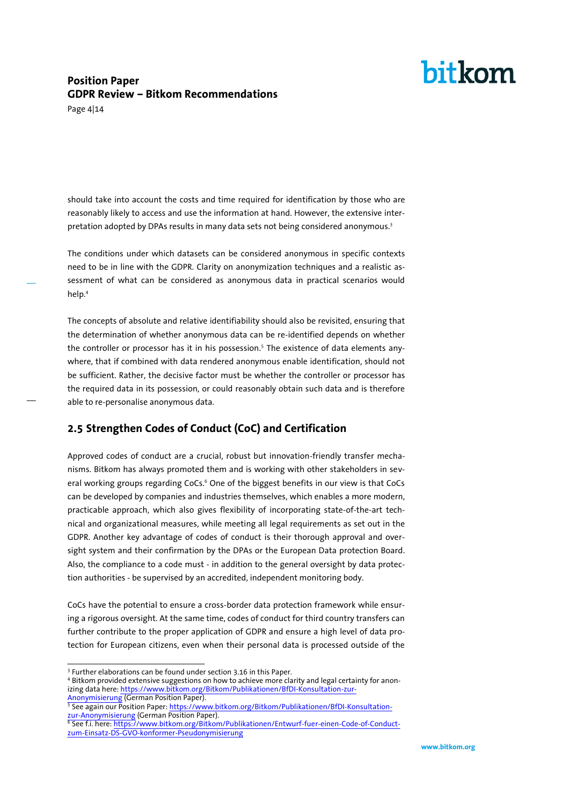### **Position Paper GDPR Review – Bitkom Recommendations**

Page 4|14

should take into account the costs and time required for identification by those who are reasonably likely to access and use the information at hand. However, the extensive interpretation adopted by DPAs results in many data sets not being considered anonymous.<sup>3</sup>

The conditions under which datasets can be considered anonymous in specific contexts need to be in line with the GDPR. Clarity on anonymization techniques and a realistic assessment of what can be considered as anonymous data in practical scenarios would help.<sup>4</sup>

The concepts of absolute and relative identifiability should also be revisited, ensuring that the determination of whether anonymous data can be re-identified depends on whether the controller or processor has it in his possession. <sup>5</sup> The existence of data elements anywhere, that if combined with data rendered anonymous enable identification, should not be sufficient. Rather, the decisive factor must be whether the controller or processor has the required data in its possession, or could reasonably obtain such data and is therefore able to re-personalise anonymous data.

### **2.5 Strengthen Codes of Conduct (CoC) and Certification**

Approved codes of conduct are a crucial, robust but innovation-friendly transfer mechanisms. Bitkom has always promoted them and is working with other stakeholders in several working groups regarding CoCs.<sup>6</sup> One of the biggest benefits in our view is that CoCs can be developed by companies and industries themselves, which enables a more modern, practicable approach, which also gives flexibility of incorporating state-of-the-art technical and organizational measures, while meeting all legal requirements as set out in the GDPR. Another key advantage of codes of conduct is their thorough approval and oversight system and their confirmation by the DPAs or the European Data protection Board. Also, the compliance to a code must - in addition to the general oversight by data protection authorities - be supervised by an accredited, independent monitoring body.

CoCs have the potential to ensure a cross-border data protection framework while ensuring a rigorous oversight. At the same time, codes of conduct for third country transfers can further contribute to the proper application of GDPR and ensure a high level of data protection for European citizens, even when their personal data is processed outside of the

j <sup>3</sup> Further elaborations can be found under section 3.16 in this Paper.

<sup>&</sup>lt;sup>4</sup> Bitkom provided extensive suggestions on how to achieve more clarity and legal certainty for anonizing data here[: https://www.bitkom.org/Bitkom/Publikationen/BfDI-Konsultation-zur-](https://www.bitkom.org/Bitkom/Publikationen/BfDI-Konsultation-zur-Anonymisierung)[Anonymisierung](https://www.bitkom.org/Bitkom/Publikationen/BfDI-Konsultation-zur-Anonymisierung) (German Position Paper).

<sup>&</sup>lt;sup>5</sup> See again our Position Paper[: https://www.bitkom.org/Bitkom/Publikationen/BfDI-Konsultation](https://www.bitkom.org/Bitkom/Publikationen/BfDI-Konsultation-zur-Anonymisierung)[zur-Anonymisierung](https://www.bitkom.org/Bitkom/Publikationen/BfDI-Konsultation-zur-Anonymisierung) (German Position Paper).

<sup>6</sup> See f.i. here[: https://www.bitkom.org/Bitkom/Publikationen/Entwurf-fuer-einen-Code-of-Conduct](https://www.bitkom.org/Bitkom/Publikationen/Entwurf-fuer-einen-Code-of-Conduct-zum-Einsatz-DS-GVO-konformer-Pseudonymisierung)[zum-Einsatz-DS-GVO-konformer-Pseudonymisierung](https://www.bitkom.org/Bitkom/Publikationen/Entwurf-fuer-einen-Code-of-Conduct-zum-Einsatz-DS-GVO-konformer-Pseudonymisierung)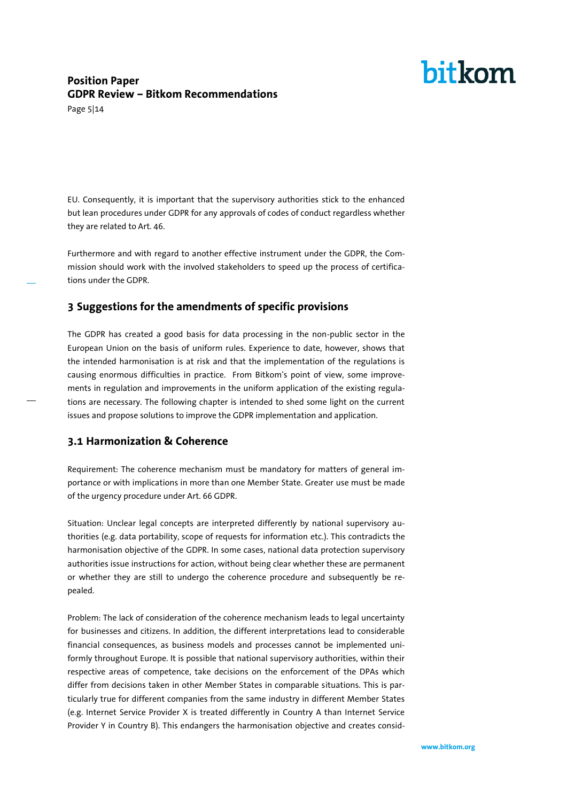### **Position Paper GDPR Review – Bitkom Recommendations**

Page 5|14

EU. Consequently, it is important that the supervisory authorities stick to the enhanced but lean procedures under GDPR for any approvals of codes of conduct regardless whether they are related to Art. 46.

Furthermore and with regard to another effective instrument under the GDPR, the Commission should work with the involved stakeholders to speed up the process of certifications under the GDPR.

#### **3 Suggestions for the amendments of specific provisions**

The GDPR has created a good basis for data processing in the non-public sector in the European Union on the basis of uniform rules. Experience to date, however, shows that the intended harmonisation is at risk and that the implementation of the regulations is causing enormous difficulties in practice. From Bitkom's point of view, some improvements in regulation and improvements in the uniform application of the existing regulations are necessary. The following chapter is intended to shed some light on the current issues and propose solutions to improve the GDPR implementation and application.

#### **3.1 Harmonization & Coherence**

Requirement: The coherence mechanism must be mandatory for matters of general importance or with implications in more than one Member State. Greater use must be made of the urgency procedure under Art. 66 GDPR.

Situation: Unclear legal concepts are interpreted differently by national supervisory authorities (e.g. data portability, scope of requests for information etc.). This contradicts the harmonisation objective of the GDPR. In some cases, national data protection supervisory authorities issue instructions for action, without being clear whether these are permanent or whether they are still to undergo the coherence procedure and subsequently be repealed.

Problem: The lack of consideration of the coherence mechanism leads to legal uncertainty for businesses and citizens. In addition, the different interpretations lead to considerable financial consequences, as business models and processes cannot be implemented uniformly throughout Europe. It is possible that national supervisory authorities, within their respective areas of competence, take decisions on the enforcement of the DPAs which differ from decisions taken in other Member States in comparable situations. This is particularly true for different companies from the same industry in different Member States (e.g. Internet Service Provider X is treated differently in Country A than Internet Service Provider Y in Country B). This endangers the harmonisation objective and creates consid-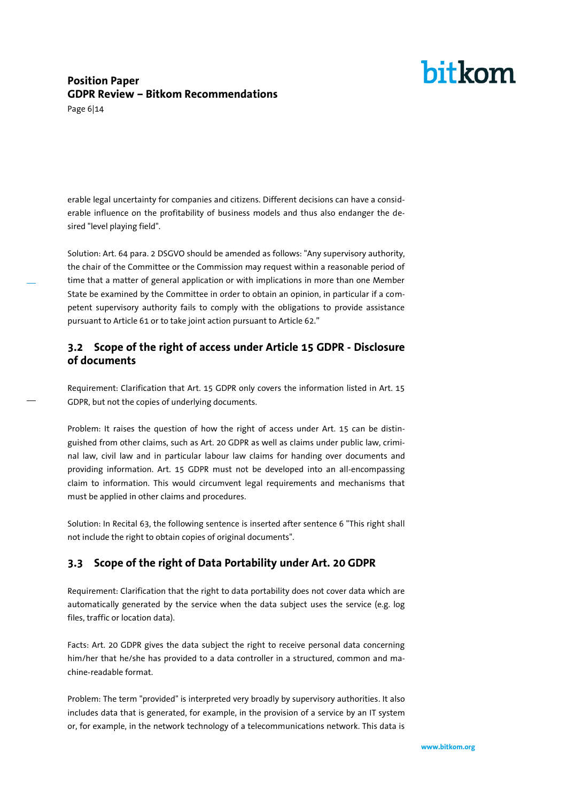### **Position Paper GDPR Review – Bitkom Recommendations**

Page 6|14

erable legal uncertainty for companies and citizens. Different decisions can have a considerable influence on the profitability of business models and thus also endanger the desired "level playing field".

Solution: Art. 64 para. 2 DSGVO should be amended as follows: "Any supervisory authority, the chair of the Committee or the Commission may request within a reasonable period of time that a matter of general application or with implications in more than one Member State be examined by the Committee in order to obtain an opinion, in particular if a competent supervisory authority fails to comply with the obligations to provide assistance pursuant to Article 61 or to take joint action pursuant to Article 62."

### **3.2 Scope of the right of access under Article 15 GDPR - Disclosure of documents**

Requirement: Clarification that Art. 15 GDPR only covers the information listed in Art. 15 GDPR, but not the copies of underlying documents.

Problem: It raises the question of how the right of access under Art. 15 can be distinguished from other claims, such as Art. 20 GDPR as well as claims under public law, criminal law, civil law and in particular labour law claims for handing over documents and providing information. Art. 15 GDPR must not be developed into an all-encompassing claim to information. This would circumvent legal requirements and mechanisms that must be applied in other claims and procedures.

Solution: In Recital 63, the following sentence is inserted after sentence 6 "This right shall not include the right to obtain copies of original documents".

### **3.3 Scope of the right of Data Portability under Art. 20 GDPR**

Requirement: Clarification that the right to data portability does not cover data which are automatically generated by the service when the data subject uses the service (e.g. log files, traffic or location data).

Facts: Art. 20 GDPR gives the data subject the right to receive personal data concerning him/her that he/she has provided to a data controller in a structured, common and machine-readable format.

Problem: The term "provided" is interpreted very broadly by supervisory authorities. It also includes data that is generated, for example, in the provision of a service by an IT system or, for example, in the network technology of a telecommunications network. This data is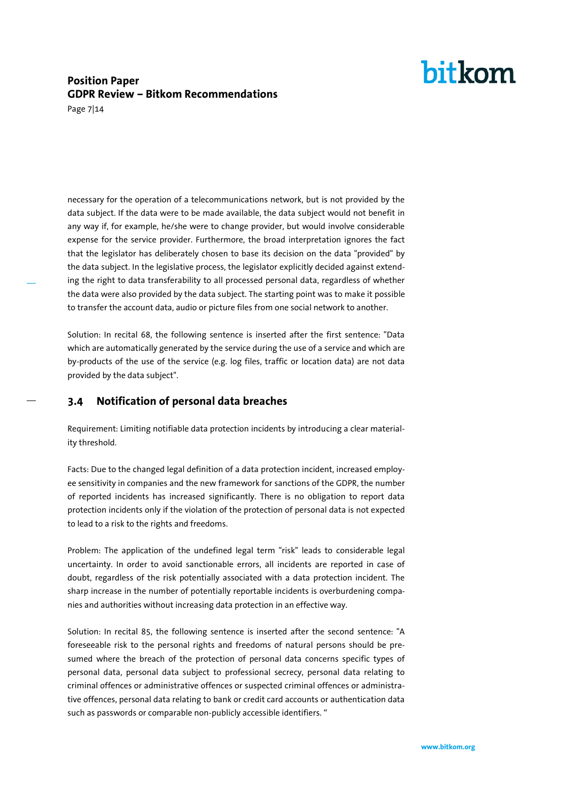### **Position Paper GDPR Review – Bitkom Recommendations**

Page 7|14

necessary for the operation of a telecommunications network, but is not provided by the data subject. If the data were to be made available, the data subject would not benefit in any way if, for example, he/she were to change provider, but would involve considerable expense for the service provider. Furthermore, the broad interpretation ignores the fact that the legislator has deliberately chosen to base its decision on the data "provided" by the data subject. In the legislative process, the legislator explicitly decided against extending the right to data transferability to all processed personal data, regardless of whether the data were also provided by the data subject. The starting point was to make it possible to transfer the account data, audio or picture files from one social network to another.

Solution: In recital 68, the following sentence is inserted after the first sentence: "Data which are automatically generated by the service during the use of a service and which are by-products of the use of the service (e.g. log files, traffic or location data) are not data provided by the data subject".

**3.4 Notification of personal data breaches**

Requirement: Limiting notifiable data protection incidents by introducing a clear materiality threshold.

Facts: Due to the changed legal definition of a data protection incident, increased employee sensitivity in companies and the new framework for sanctions of the GDPR, the number of reported incidents has increased significantly. There is no obligation to report data protection incidents only if the violation of the protection of personal data is not expected to lead to a risk to the rights and freedoms.

Problem: The application of the undefined legal term "risk" leads to considerable legal uncertainty. In order to avoid sanctionable errors, all incidents are reported in case of doubt, regardless of the risk potentially associated with a data protection incident. The sharp increase in the number of potentially reportable incidents is overburdening companies and authorities without increasing data protection in an effective way.

Solution: In recital 85, the following sentence is inserted after the second sentence: "A foreseeable risk to the personal rights and freedoms of natural persons should be presumed where the breach of the protection of personal data concerns specific types of personal data, personal data subject to professional secrecy, personal data relating to criminal offences or administrative offences or suspected criminal offences or administrative offences, personal data relating to bank or credit card accounts or authentication data such as passwords or comparable non-publicly accessible identifiers. "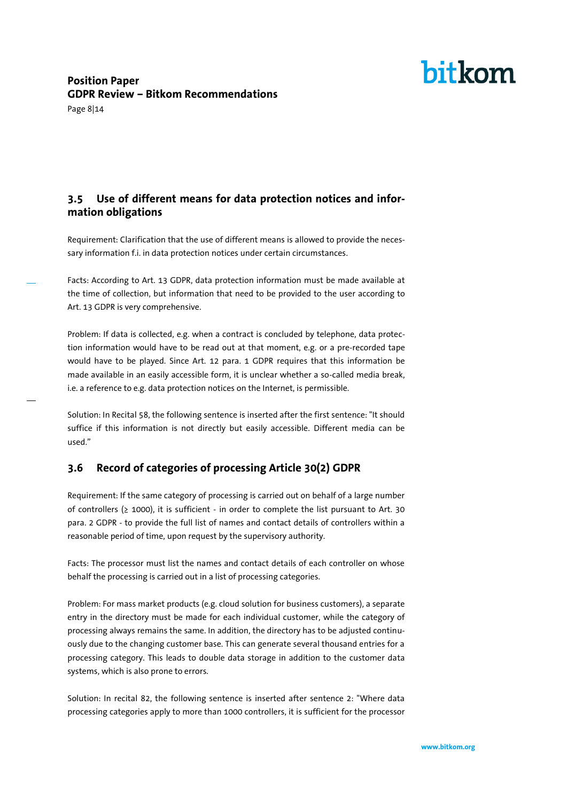Page 8|14

### **3.5 Use of different means for data protection notices and information obligations**

Requirement: Clarification that the use of different means is allowed to provide the necessary information f.i. in data protection notices under certain circumstances.

Facts: According to Art. 13 GDPR, data protection information must be made available at the time of collection, but information that need to be provided to the user according to Art. 13 GDPR is very comprehensive.

Problem: If data is collected, e.g. when a contract is concluded by telephone, data protection information would have to be read out at that moment, e.g. or a pre-recorded tape would have to be played. Since Art. 12 para. 1 GDPR requires that this information be made available in an easily accessible form, it is unclear whether a so-called media break, i.e. a reference to e.g. data protection notices on the Internet, is permissible.

Solution: In Recital 58, the following sentence is inserted after the first sentence: "It should suffice if this information is not directly but easily accessible. Different media can be used."

### **3.6 Record of categories of processing Article 30(2) GDPR**

Requirement: If the same category of processing is carried out on behalf of a large number of controllers ( $\geq$  1000), it is sufficient - in order to complete the list pursuant to Art. 30 para. 2 GDPR - to provide the full list of names and contact details of controllers within a reasonable period of time, upon request by the supervisory authority.

Facts: The processor must list the names and contact details of each controller on whose behalf the processing is carried out in a list of processing categories.

Problem: For mass market products (e.g. cloud solution for business customers), a separate entry in the directory must be made for each individual customer, while the category of processing always remains the same. In addition, the directory has to be adjusted continuously due to the changing customer base. This can generate several thousand entries for a processing category. This leads to double data storage in addition to the customer data systems, which is also prone to errors.

Solution: In recital 82, the following sentence is inserted after sentence 2: "Where data processing categories apply to more than 1000 controllers, it is sufficient for the processor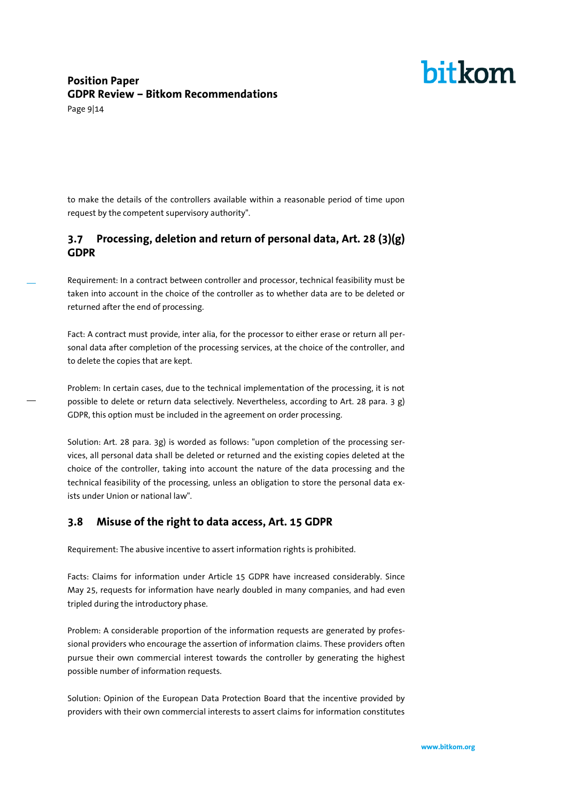### **Position Paper GDPR Review – Bitkom Recommendations**

Page 9|14

to make the details of the controllers available within a reasonable period of time upon request by the competent supervisory authority".

### **3.7 Processing, deletion and return of personal data, Art. 28 (3)(g) GDPR**

Requirement: In a contract between controller and processor, technical feasibility must be taken into account in the choice of the controller as to whether data are to be deleted or returned after the end of processing.

Fact: A contract must provide, inter alia, for the processor to either erase or return all personal data after completion of the processing services, at the choice of the controller, and to delete the copies that are kept.

Problem: In certain cases, due to the technical implementation of the processing, it is not possible to delete or return data selectively. Nevertheless, according to Art. 28 para. 3 g) GDPR, this option must be included in the agreement on order processing.

Solution: Art. 28 para. 3g) is worded as follows: "upon completion of the processing services, all personal data shall be deleted or returned and the existing copies deleted at the choice of the controller, taking into account the nature of the data processing and the technical feasibility of the processing, unless an obligation to store the personal data exists under Union or national law".

#### **3.8 Misuse of the right to data access, Art. 15 GDPR**

Requirement: The abusive incentive to assert information rights is prohibited.

Facts: Claims for information under Article 15 GDPR have increased considerably. Since May 25, requests for information have nearly doubled in many companies, and had even tripled during the introductory phase.

Problem: A considerable proportion of the information requests are generated by professional providers who encourage the assertion of information claims. These providers often pursue their own commercial interest towards the controller by generating the highest possible number of information requests.

Solution: Opinion of the European Data Protection Board that the incentive provided by providers with their own commercial interests to assert claims for information constitutes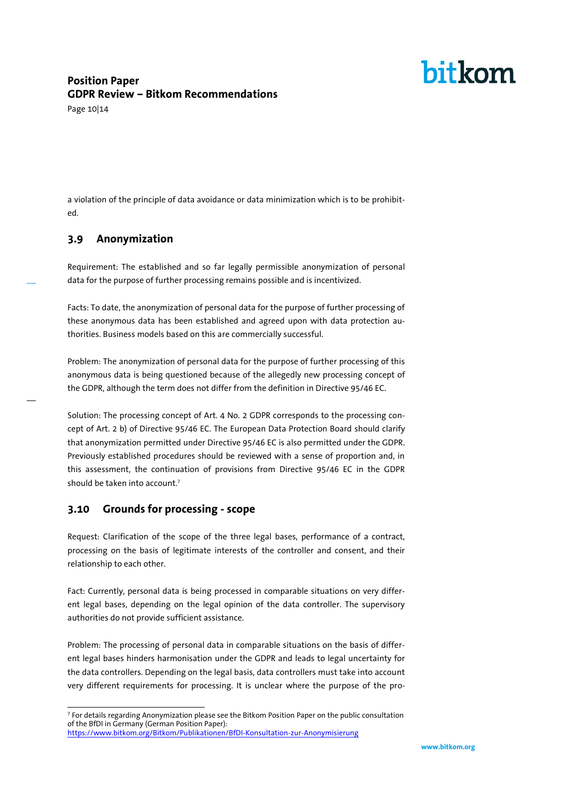### **Position Paper GDPR Review – Bitkom Recommendations**

Page 10|14

a violation of the principle of data avoidance or data minimization which is to be prohibited.

#### **3.9 Anonymization**

Requirement: The established and so far legally permissible anonymization of personal data for the purpose of further processing remains possible and is incentivized.

Facts: To date, the anonymization of personal data for the purpose of further processing of these anonymous data has been established and agreed upon with data protection authorities. Business models based on this are commercially successful.

Problem: The anonymization of personal data for the purpose of further processing of this anonymous data is being questioned because of the allegedly new processing concept of the GDPR, although the term does not differ from the definition in Directive 95/46 EC.

Solution: The processing concept of Art. 4 No. 2 GDPR corresponds to the processing concept of Art. 2 b) of Directive 95/46 EC. The European Data Protection Board should clarify that anonymization permitted under Directive 95/46 EC is also permitted under the GDPR. Previously established procedures should be reviewed with a sense of proportion and, in this assessment, the continuation of provisions from Directive 95/46 EC in the GDPR should be taken into account.<sup>7</sup>

#### **3.10 Grounds for processing - scope**

Request: Clarification of the scope of the three legal bases, performance of a contract, processing on the basis of legitimate interests of the controller and consent, and their relationship to each other.

Fact: Currently, personal data is being processed in comparable situations on very different legal bases, depending on the legal opinion of the data controller. The supervisory authorities do not provide sufficient assistance.

Problem: The processing of personal data in comparable situations on the basis of different legal bases hinders harmonisation under the GDPR and leads to legal uncertainty for the data controllers. Depending on the legal basis, data controllers must take into account very different requirements for processing. It is unclear where the purpose of the pro-

 7 For details regarding Anonymization please see the Bitkom Position Paper on the public consultation of the BfDI in Germany (German Position Paper):

<https://www.bitkom.org/Bitkom/Publikationen/BfDI-Konsultation-zur-Anonymisierung>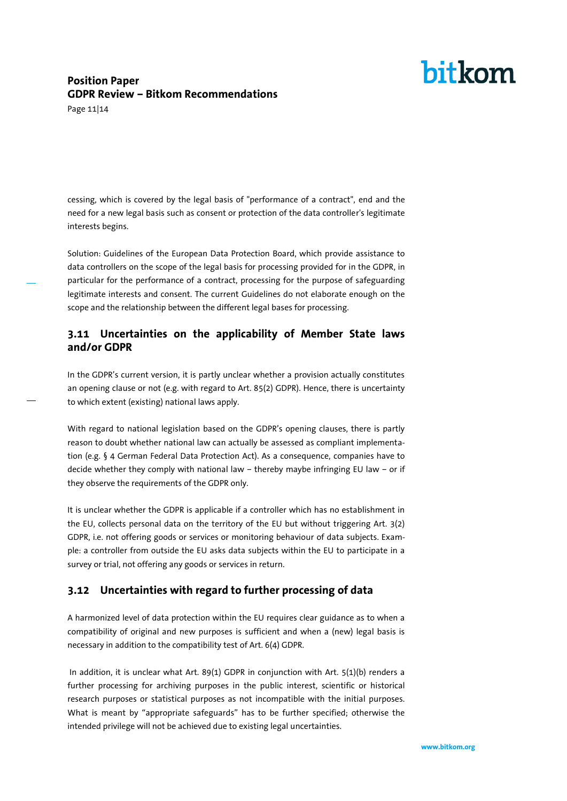### **Position Paper GDPR Review – Bitkom Recommendations**

Page 11|14

cessing, which is covered by the legal basis of "performance of a contract", end and the need for a new legal basis such as consent or protection of the data controller's legitimate interests begins.

Solution: Guidelines of the European Data Protection Board, which provide assistance to data controllers on the scope of the legal basis for processing provided for in the GDPR, in particular for the performance of a contract, processing for the purpose of safeguarding legitimate interests and consent. The current Guidelines do not elaborate enough on the scope and the relationship between the different legal bases for processing.

### **3.11 Uncertainties on the applicability of Member State laws and/or GDPR**

In the GDPR's current version, it is partly unclear whether a provision actually constitutes an opening clause or not (e.g. with regard to Art. 85(2) GDPR). Hence, there is uncertainty to which extent (existing) national laws apply.

With regard to national legislation based on the GDPR's opening clauses, there is partly reason to doubt whether national law can actually be assessed as compliant implementation (e.g. § 4 German Federal Data Protection Act). As a consequence, companies have to decide whether they comply with national law – thereby maybe infringing EU law – or if they observe the requirements of the GDPR only.

It is unclear whether the GDPR is applicable if a controller which has no establishment in the EU, collects personal data on the territory of the EU but without triggering Art. 3(2) GDPR, i.e. not offering goods or services or monitoring behaviour of data subjects. Example: a controller from outside the EU asks data subjects within the EU to participate in a survey or trial, not offering any goods or services in return.

### **3.12 Uncertainties with regard to further processing of data**

A harmonized level of data protection within the EU requires clear guidance as to when a compatibility of original and new purposes is sufficient and when a (new) legal basis is necessary in addition to the compatibility test of Art. 6(4) GDPR.

In addition, it is unclear what Art. 89(1) GDPR in conjunction with Art. 5(1)(b) renders a further processing for archiving purposes in the public interest, scientific or historical research purposes or statistical purposes as not incompatible with the initial purposes. What is meant by "appropriate safeguards" has to be further specified; otherwise the intended privilege will not be achieved due to existing legal uncertainties.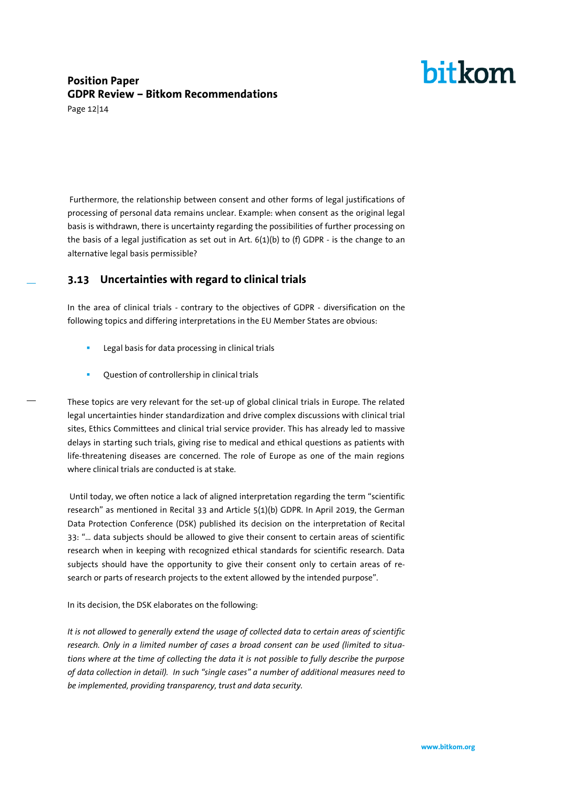### **Position Paper GDPR Review – Bitkom Recommendations**

Page 12|14

Furthermore, the relationship between consent and other forms of legal justifications of processing of personal data remains unclear. Example: when consent as the original legal basis is withdrawn, there is uncertainty regarding the possibilities of further processing on the basis of a legal justification as set out in Art.  $6(1)(b)$  to (f) GDPR - is the change to an alternative legal basis permissible?

### **3.13 Uncertainties with regard to clinical trials**

In the area of clinical trials - contrary to the objectives of GDPR - diversification on the following topics and differing interpretations in the EU Member States are obvious:

- Legal basis for data processing in clinical trials
- **•** Question of controllership in clinical trials

These topics are very relevant for the set-up of global clinical trials in Europe. The related legal uncertainties hinder standardization and drive complex discussions with clinical trial sites, Ethics Committees and clinical trial service provider. This has already led to massive delays in starting such trials, giving rise to medical and ethical questions as patients with life-threatening diseases are concerned. The role of Europe as one of the main regions where clinical trials are conducted is at stake.

Until today, we often notice a lack of aligned interpretation regarding the term "scientific research" as mentioned in Recital 33 and Article 5(1)(b) GDPR. In April 2019, the German Data Protection Conference (DSK) published its decision on the interpretation of Recital 33: "… data subjects should be allowed to give their consent to certain areas of scientific research when in keeping with recognized ethical standards for scientific research. Data subjects should have the opportunity to give their consent only to certain areas of research or parts of research projects to the extent allowed by the intended purpose".

In its decision, the DSK elaborates on the following:

*It is not allowed to generally extend the usage of collected data to certain areas of scientific research. Only in a limited number of cases a broad consent can be used (limited to situations where at the time of collecting the data it is not possible to fully describe the purpose of data collection in detail). In such "single cases" a number of additional measures need to be implemented, providing transparency, trust and data security.*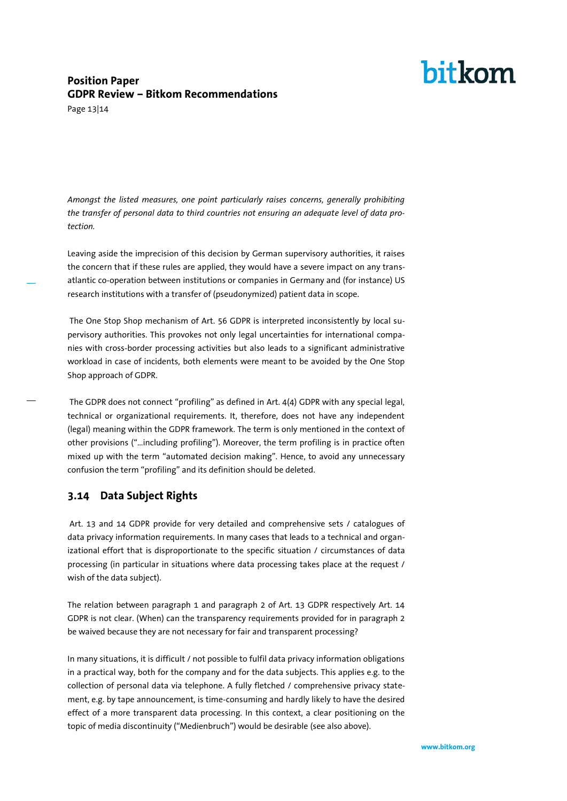# hitkom

### **Position Paper GDPR Review – Bitkom Recommendations**

Page 13|14

*Amongst the listed measures, one point particularly raises concerns, generally prohibiting the transfer of personal data to third countries not ensuring an adequate level of data protection.* 

Leaving aside the imprecision of this decision by German supervisory authorities, it raises the concern that if these rules are applied, they would have a severe impact on any transatlantic co-operation between institutions or companies in Germany and (for instance) US research institutions with a transfer of (pseudonymized) patient data in scope.

The One Stop Shop mechanism of Art. 56 GDPR is interpreted inconsistently by local supervisory authorities. This provokes not only legal uncertainties for international companies with cross-border processing activities but also leads to a significant administrative workload in case of incidents, both elements were meant to be avoided by the One Stop Shop approach of GDPR.

The GDPR does not connect "profiling" as defined in Art. 4(4) GDPR with any special legal, technical or organizational requirements. It, therefore, does not have any independent (legal) meaning within the GDPR framework. The term is only mentioned in the context of other provisions ("…including profiling"). Moreover, the term profiling is in practice often mixed up with the term "automated decision making". Hence, to avoid any unnecessary confusion the term "profiling" and its definition should be deleted.

### **3.14 Data Subject Rights**

Art. 13 and 14 GDPR provide for very detailed and comprehensive sets / catalogues of data privacy information requirements. In many cases that leads to a technical and organizational effort that is disproportionate to the specific situation / circumstances of data processing (in particular in situations where data processing takes place at the request / wish of the data subject).

The relation between paragraph 1 and paragraph 2 of Art. 13 GDPR respectively Art. 14 GDPR is not clear. (When) can the transparency requirements provided for in paragraph 2 be waived because they are not necessary for fair and transparent processing?

In many situations, it is difficult / not possible to fulfil data privacy information obligations in a practical way, both for the company and for the data subjects. This applies e.g. to the collection of personal data via telephone. A fully fletched / comprehensive privacy statement, e.g. by tape announcement, is time-consuming and hardly likely to have the desired effect of a more transparent data processing. In this context, a clear positioning on the topic of media discontinuity ("Medienbruch") would be desirable (see also above).